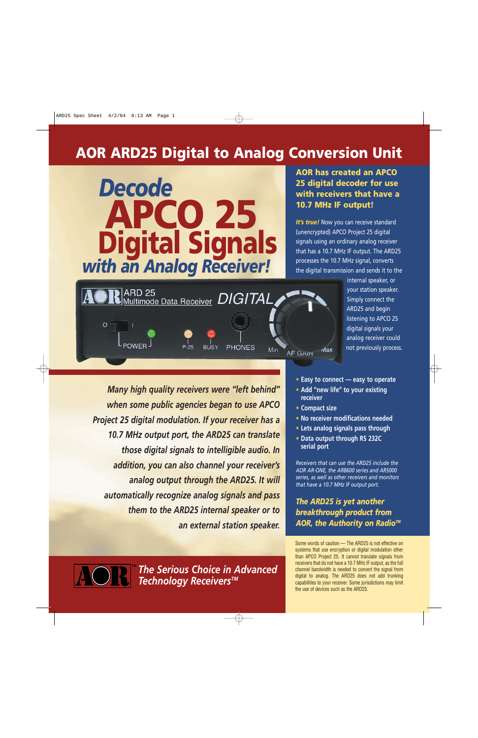# **AOR ARD25 Digital to Analog Conversion Unit**



### **AOR has created an APCO 25 digital decoder for use with receivers that have a 10.7 MHz IF output!**

**It's true!** Now you can receive standard (unencrypted) APCO Project 25 digital signals using an ordinary analog receiver that has a 10.7 MHz IF output. The ARD25 processes the 10.7 MHz signal, converts the digital transmission and sends it to the

> internal speaker, or your station speaker. Simply connect the ARD25 and begin listening to APCO 25 digital signals your analog receiver could not previously process.



*Many high quality receivers were "left behind" when some public agencies began to use APCO Project 25 digital modulation. If your receiver has a 10.7 MHz output port, the ARD25 can translate those digital signals to intelligible audio. In addition, you can also channel your receiver's analog output through the ARD25. It will automatically recognize analog signals and pass them to the ARD25 internal speaker or to an external station speaker.*

- **• Easy to connect easy to operate**
- **• Add "new life" to your existing receiver**
- **• Compact size**
- **• No receiver modifications needed**
- **• Lets analog signals pass through**
- **• Data output through RS 232C serial port**

*Receivers that can use the ARD25 include the AOR AR-ONE, the AR8600 series and AR5000 series, as well as other receivers and monitors that have a 10.7 MHz IF output port.*

*The ARD25 is yet another breakthrough product from* **AOR, the Authority on Radio<sup>™</sup>** 

Some words of caution — The ARD25 is not effective on systems that use encryption or digital modulation other than APCO Project 25. It cannot translate signals from receivers that do not have a 10.7 MHz IF output, as the full channel bandwidth is needed to convert the signal from digital to analog. The ARD25 does not add trunking capabilities to your receiver. Some jurisdictions may limit the use of devices such as the ARD25.

*The Serious Choice in Advanced Technology ReceiversTM*